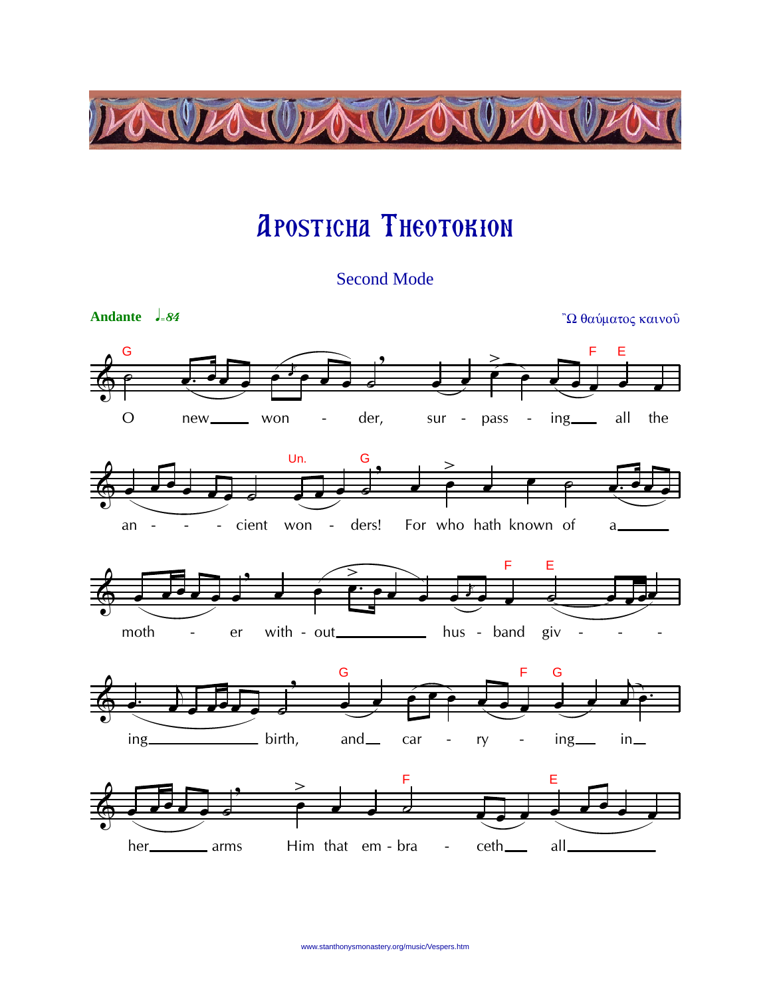

## **APOSTICHA THEOTOKION**

**Second Mode**